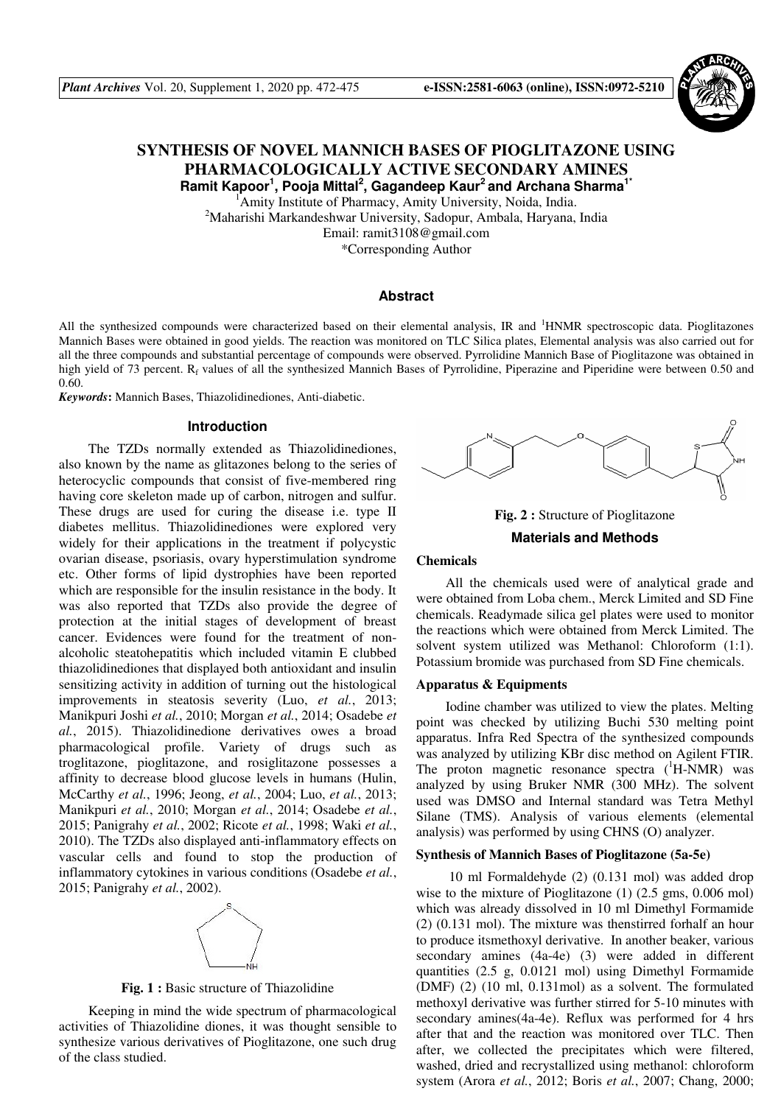

# **SYNTHESIS OF NOVEL MANNICH BASES OF PIOGLITAZONE USING PHARMACOLOGICALLY ACTIVE SECONDARY AMINES Ramit Kapoor<sup>1</sup> , Pooja Mittal<sup>2</sup> , Gagandeep Kaur<sup>2</sup>and Archana Sharma1\***

<sup>1</sup> Amity Institute of Pharmacy, Amity University, Noida, India. <sup>2</sup>Maharishi Markandeshwar University, Sadopur, Ambala, Haryana, India Email: ramit3108@gmail.com \*Corresponding Author

# **Abstract**

All the synthesized compounds were characterized based on their elemental analysis, IR and <sup>1</sup>HNMR spectroscopic data. Pioglitazones Mannich Bases were obtained in good yields. The reaction was monitored on TLC Silica plates, Elemental analysis was also carried out for all the three compounds and substantial percentage of compounds were observed. Pyrrolidine Mannich Base of Pioglitazone was obtained in high yield of 73 percent. R<sub>f</sub> values of all the synthesized Mannich Bases of Pyrrolidine, Piperazine and Piperidine were between 0.50 and 0.60.

*Keywords***:** Mannich Bases, Thiazolidinediones, Anti-diabetic.

## **Introduction**

The TZDs normally extended as Thiazolidinediones, also known by the name as glitazones belong to the series of heterocyclic compounds that consist of five-membered ring having core skeleton made up of carbon, nitrogen and sulfur. These drugs are used for curing the disease i.e. type II diabetes mellitus. Thiazolidinediones were explored very widely for their applications in the treatment if polycystic ovarian disease, psoriasis, ovary hyperstimulation syndrome etc. Other forms of lipid dystrophies have been reported which are responsible for the insulin resistance in the body. It was also reported that TZDs also provide the degree of protection at the initial stages of development of breast cancer. Evidences were found for the treatment of nonalcoholic steatohepatitis which included vitamin E clubbed thiazolidinediones that displayed both antioxidant and insulin sensitizing activity in addition of turning out the histological improvements in steatosis severity (Luo, *et al.*, 2013; Manikpuri Joshi *et al.*, 2010; Morgan *et al.*, 2014; Osadebe *et al.*, 2015). Thiazolidinedione derivatives owes a broad pharmacological profile. Variety of drugs such as troglitazone, pioglitazone, and rosiglitazone possesses a affinity to decrease blood glucose levels in humans (Hulin, McCarthy *et al.*, 1996; Jeong, *et al.*, 2004; Luo, *et al.*, 2013; Manikpuri *et al.*, 2010; Morgan *et al.*, 2014; Osadebe *et al.*, 2015; Panigrahy *et al.*, 2002; Ricote *et al.*, 1998; Waki *et al.*, 2010). The TZDs also displayed anti-inflammatory effects on vascular cells and found to stop the production of inflammatory cytokines in various conditions (Osadebe *et al.*, 2015; Panigrahy *et al.*, 2002).



**Fig. 1 :** Basic structure of Thiazolidine

Keeping in mind the wide spectrum of pharmacological activities of Thiazolidine diones, it was thought sensible to synthesize various derivatives of Pioglitazone, one such drug of the class studied.



**Fig. 2 :** Structure of Pioglitazone

# **Materials and Methods**

# **Chemicals**

All the chemicals used were of analytical grade and were obtained from Loba chem., Merck Limited and SD Fine chemicals. Readymade silica gel plates were used to monitor the reactions which were obtained from Merck Limited. The solvent system utilized was Methanol: Chloroform (1:1). Potassium bromide was purchased from SD Fine chemicals.

#### **Apparatus & Equipments**

Iodine chamber was utilized to view the plates. Melting point was checked by utilizing Buchi 530 melting point apparatus. Infra Red Spectra of the synthesized compounds was analyzed by utilizing KBr disc method on Agilent FTIR. The proton magnetic resonance spectra  $({}^{1}H\text{-NMR})$  was analyzed by using Bruker NMR (300 MHz). The solvent used was DMSO and Internal standard was Tetra Methyl Silane (TMS). Analysis of various elements (elemental analysis) was performed by using CHNS (O) analyzer.

# **Synthesis of Mannich Bases of Pioglitazone (5a-5e)**

 10 ml Formaldehyde (2) (0.131 mol) was added drop wise to the mixture of Pioglitazone (1) (2.5 gms, 0.006 mol) which was already dissolved in 10 ml Dimethyl Formamide (2) (0.131 mol). The mixture was thenstirred forhalf an hour to produce itsmethoxyl derivative. In another beaker, various secondary amines (4a-4e) (3) were added in different quantities (2.5 g, 0.0121 mol) using Dimethyl Formamide (DMF) (2) (10 ml, 0.131mol) as a solvent. The formulated methoxyl derivative was further stirred for 5-10 minutes with secondary amines(4a-4e). Reflux was performed for 4 hrs after that and the reaction was monitored over TLC. Then after, we collected the precipitates which were filtered, washed, dried and recrystallized using methanol: chloroform system (Arora *et al.*, 2012; Boris *et al.*, 2007; Chang, 2000;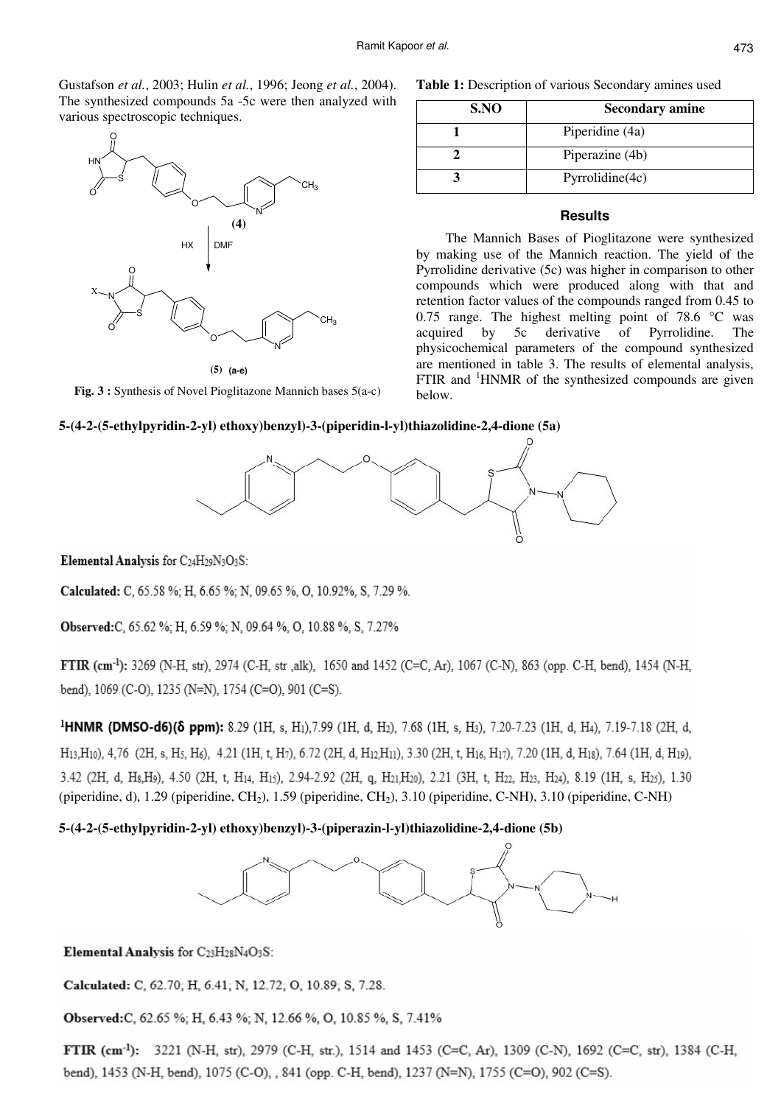Gustafson *et al.*, 2003; Hulin *et al.*, 1996; Jeong *et al.*, 2004). The synthesized compounds 5a -5c were then analyzed with various spectroscopic techniques.



**(a-e) (5)**

**Fig. 3 :** Synthesis of Novel Pioglitazone Mannich bases 5(a-c)

Table 1: Description of various Secondary amines used

| S.NO | <b>Secondary amine</b> |
|------|------------------------|
|      | Piperidine (4a)        |
|      | Piperazine (4b)        |
|      | Pyrrolidine(4c)        |

# **Results**

The Mannich Bases of Pioglitazone were synthesized by making use of the Mannich reaction. The yield of the Pyrrolidine derivative (5c) was higher in comparison to other compounds which were produced along with that and retention factor values of the compounds ranged from 0.45 to 0.75 range. The highest melting point of 78.6  $\degree$ C was acquired by 5c derivative of Pyrrolidine. The physicochemical parameters of the compound synthesized are mentioned in table 3. The results of elemental analysis, FTIR and  ${}^{1}$ HNMR of the synthesized compounds are given below.

## **5-(4-2-(5-ethylpyridin-2-yl) ethoxy)benzyl)-3-(piperidin-l-yl)thiazolidine-2,4-dione (5a)**



Elemental Analysis for C24H29N3O3S:

Calculated: C, 65.58 %; H, 6.65 %; N, 09.65 %, O, 10.92%, S, 7.29 %.

Observed:C, 65.62 %; H, 6.59 %; N, 09.64 %, O, 10.88 %, S, 7.27%

FTIR (cm<sup>-1</sup>): 3269 (N-H, str), 2974 (C-H, str ,alk), 1650 and 1452 (C=C, Ar), 1067 (C-N), 863 (opp. C-H, bend), 1454 (N-H, bend), 1069 (C-O), 1235 (N=N), 1754 (C=O), 901 (C=S).

<sup>1</sup>HNMR (DMSO-d6)(δ ppm): 8.29 (1H, s, H<sub>1</sub>),7.99 (1H, d, H<sub>2</sub>), 7.68 (1H, s, H<sub>3</sub>), 7.20-7.23 (1H, d, H<sub>4</sub>), 7.19-7.18 (2H, d, H<sub>13</sub>,H<sub>10</sub>), 4,76 (2H, s, H<sub>5</sub>, H<sub>6</sub>), 4.21 (1H, t, H<sub>7</sub>), 6.72 (2H, d, H<sub>12</sub>H<sub>11</sub>), 3.30 (2H, t, H<sub>16</sub>, H<sub>17</sub>), 7.20 (1H, d, H<sub>18</sub>), 7.64 (1H, d, H<sub>19</sub>), 3.42 (2H, d, H<sub>8</sub>,H<sub>9</sub>), 4.50 (2H, t, H<sub>14</sub>, H<sub>15</sub>), 2.94-2.92 (2H, q, H<sub>21</sub>,H<sub>20</sub>), 2.21 (3H, t, H<sub>22</sub>, H<sub>23</sub>, H<sub>24</sub>), 8.19 (1H, s, H<sub>25</sub>), 1.30 (piperidine, d), 1.29 (piperidine,  $CH_2$ ), 1.59 (piperidine,  $CH_2$ ), 3.10 (piperidine, C-NH), 3.10 (piperidine, C-NH)

# **5-(4-2-(5-ethylpyridin-2-yl) ethoxy)benzyl)-3-(piperazin-l-yl)thiazolidine-2,4-dione (5b)**



Elemental Analysis for C23H28N4O3S:

Calculated: C, 62.70; H, 6.41; N, 12.72; O, 10.89; S, 7.28.

Observed:C, 62.65 %; H, 6.43 %; N, 12.66 %, O, 10.85 %, S, 7.41%

FTIR (cm<sup>-1</sup>): 3221 (N-H, str), 2979 (C-H, str.), 1514 and 1453 (C=C, Ar), 1309 (C-N), 1692 (C=C, str), 1384 (C-H, bend), 1453 (N-H, bend), 1075 (C-O), , 841 (opp. C-H, bend), 1237 (N=N), 1755 (C=O), 902 (C=S).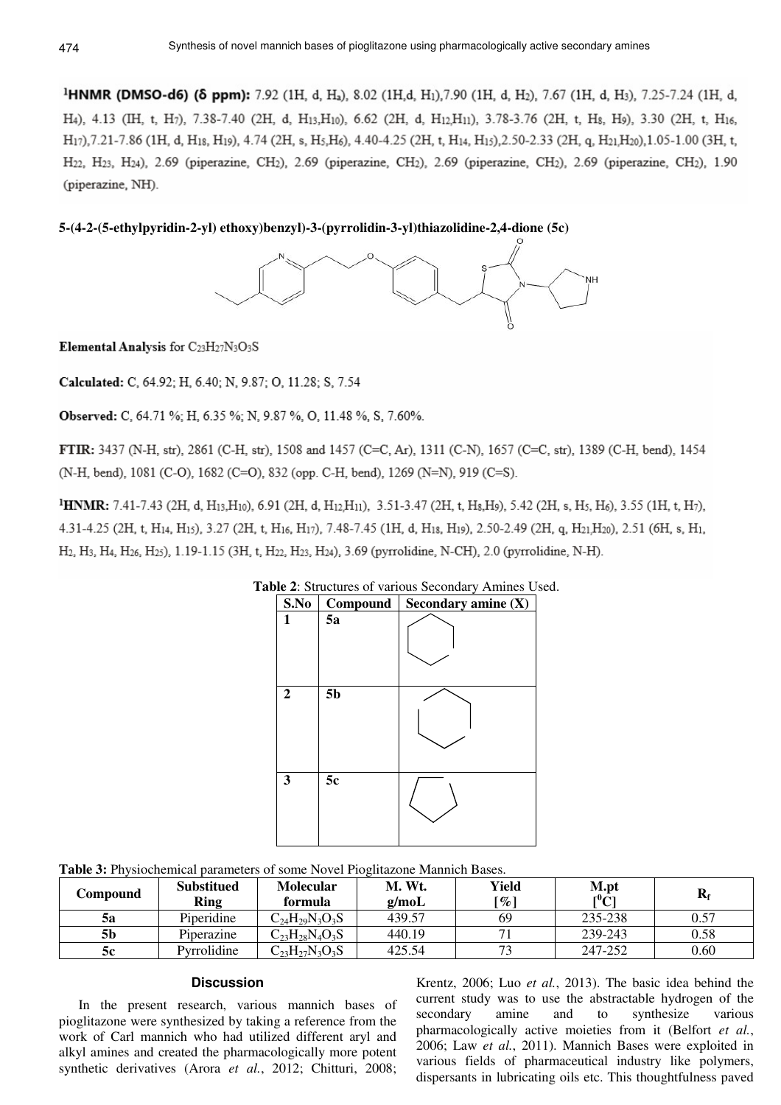<sup>1</sup>HNMR (DMSO-d6) ( $\delta$  ppm): 7.92 (1H, d, H<sub>a</sub>), 8.02 (1H,d, H<sub>1</sub>), 7.90 (1H, d, H<sub>2</sub>), 7.67 (1H, d, H<sub>3</sub>), 7.25-7.24 (1H, d, H4), 4.13 (IH, t, H7), 7.38-7.40 (2H, d, H13,H10), 6.62 (2H, d, H12,H11), 3.78-3.76 (2H, t, H8, H9), 3.30 (2H, t, H16, H<sub>17</sub>),7.21-7.86 (1H, d, H<sub>18</sub>, H<sub>19</sub>), 4.74 (2H, s, H<sub>5</sub>,H<sub>6</sub>), 4.40-4.25 (2H, t, H<sub>14</sub>, H<sub>15</sub>),2.50-2.33 (2H, q, H<sub>21</sub>,H<sub>20</sub>),1.05-1.00 (3H, t, H<sub>22</sub>, H<sub>23</sub>, H<sub>24</sub>), 2.69 (piperazine, CH<sub>2</sub>), 2.69 (piperazine, CH<sub>2</sub>), 2.69 (piperazine, CH<sub>2</sub>), 2.69 (piperazine, CH<sub>2</sub>), 1.90 (piperazine, NH).

**5-(4-2-(5-ethylpyridin-2-yl) ethoxy)benzyl)-3-(pyrrolidin-3-yl)thiazolidine-2,4-dione (5c)** 



Elemental Analysis for C23H27N3O3S

Calculated: C, 64.92; H, 6.40; N, 9.87; O, 11.28; S, 7.54

Observed: C, 64.71 %; H, 6.35 %; N, 9.87 %, O, 11.48 %, S, 7.60%.

FTIR: 3437 (N-H, str), 2861 (C-H, str), 1508 and 1457 (C=C, Ar), 1311 (C-N), 1657 (C=C, str), 1389 (C-H, bend), 1454 (N-H, bend), 1081 (C-O), 1682 (C=O), 832 (opp. C-H, bend), 1269 (N=N), 919 (C=S).

<sup>1</sup>HNMR: 7.41-7.43 (2H, d, H<sub>13</sub>,H<sub>10</sub>), 6.91 (2H, d, H<sub>12</sub>,H<sub>11</sub>), 3.51-3.47 (2H, t, H<sub>8</sub>,H<sub>9</sub>), 5.42 (2H, s, H<sub>5</sub>, H<sub>6</sub>), 3.55 (1H, t, H<sub>7</sub>), 4.31-4.25 (2H, t, H<sub>14</sub>, H<sub>15</sub>), 3.27 (2H, t, H<sub>16</sub>, H<sub>17</sub>), 7.48-7.45 (1H, d, H<sub>18</sub>, H<sub>19</sub>), 2.50-2.49 (2H, q, H<sub>21</sub>, H<sub>20</sub>), 2.51 (6H, s, H<sub>1</sub>, H<sub>2</sub>, H<sub>3</sub>, H<sub>4</sub>, H<sub>25</sub>, H<sub>25</sub>), 1.19-1.15 (3H, t, H<sub>22</sub>, H<sub>23</sub>, H<sub>24</sub>), 3.69 (pyrrolidine, N-CH), 2.0 (pyrrolidine, N-H).

| <b>able 2:</b> Structures of various Secondary Amines Us |                |                       |  |  |  |  |  |
|----------------------------------------------------------|----------------|-----------------------|--|--|--|--|--|
| S.No                                                     | Compound       | Secondary amine $(X)$ |  |  |  |  |  |
| 1                                                        | 5a             |                       |  |  |  |  |  |
| $\overline{2}$                                           | 5 <sub>b</sub> |                       |  |  |  |  |  |
| 3                                                        | 5c             |                       |  |  |  |  |  |

**Table 2**: Structures of various Secondary Amines Used.

**Table 3:** Physiochemical parameters of some Novel Pioglitazone Mannich Bases.

| Compound | <b>Substitued</b><br><b>Ring</b> | <b>Molecular</b><br>formula | M. Wt.<br>g/mol | Yield<br>[%] | M.pt<br>$\rm [^0C]$ | $\mathbf{R}_{\text{f}}$ |
|----------|----------------------------------|-----------------------------|-----------------|--------------|---------------------|-------------------------|
| 5a       | Piperidine                       | $C_{24}H_{29}N_3O_3S$       | 439.57          | 69           | 235-238             | 0.57                    |
| 5b       | Piperazine                       | $C_{23}H_{28}N_4O_3S$       | 440.19          |              | 239-243             | 0.58                    |
| 5с       | Pyrrolidine                      | $C_{23}H_{27}N_3O_3S$       | 425.54          | 73           | 247-252             | 0.60                    |

# **Discussion**

In the present research, various mannich bases of pioglitazone were synthesized by taking a reference from the work of Carl mannich who had utilized different aryl and alkyl amines and created the pharmacologically more potent synthetic derivatives (Arora *et al.*, 2012; Chitturi, 2008; Krentz, 2006; Luo *et al.*, 2013). The basic idea behind the current study was to use the abstractable hydrogen of the secondary amine and to synthesize various pharmacologically active moieties from it (Belfort *et al.*, 2006; Law *et al.*, 2011). Mannich Bases were exploited in various fields of pharmaceutical industry like polymers, dispersants in lubricating oils etc. This thoughtfulness paved